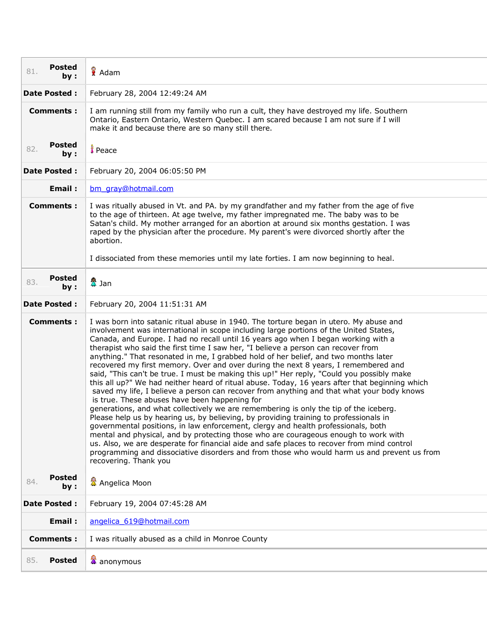| <b>Posted</b><br>81.<br>by :             | Adam                                                                                                                                                                                                                                                                                                                                                                                                                                                                                                                                                                                                                                                                                                                                                                                                                                                                                                                                                                                                                                                                                                                                                                                                                                                                                                                                                                                                                                                                                      |
|------------------------------------------|-------------------------------------------------------------------------------------------------------------------------------------------------------------------------------------------------------------------------------------------------------------------------------------------------------------------------------------------------------------------------------------------------------------------------------------------------------------------------------------------------------------------------------------------------------------------------------------------------------------------------------------------------------------------------------------------------------------------------------------------------------------------------------------------------------------------------------------------------------------------------------------------------------------------------------------------------------------------------------------------------------------------------------------------------------------------------------------------------------------------------------------------------------------------------------------------------------------------------------------------------------------------------------------------------------------------------------------------------------------------------------------------------------------------------------------------------------------------------------------------|
| Date Posted :                            | February 28, 2004 12:49:24 AM                                                                                                                                                                                                                                                                                                                                                                                                                                                                                                                                                                                                                                                                                                                                                                                                                                                                                                                                                                                                                                                                                                                                                                                                                                                                                                                                                                                                                                                             |
| <b>Comments:</b>                         | I am running still from my family who run a cult, they have destroyed my life. Southern<br>Ontario, Eastern Ontario, Western Quebec. I am scared because I am not sure if I will<br>make it and because there are so many still there.                                                                                                                                                                                                                                                                                                                                                                                                                                                                                                                                                                                                                                                                                                                                                                                                                                                                                                                                                                                                                                                                                                                                                                                                                                                    |
| <b>Posted</b><br>82.<br>by:              | <b>Peace</b>                                                                                                                                                                                                                                                                                                                                                                                                                                                                                                                                                                                                                                                                                                                                                                                                                                                                                                                                                                                                                                                                                                                                                                                                                                                                                                                                                                                                                                                                              |
| <b>Date Posted:</b>                      | February 20, 2004 06:05:50 PM                                                                                                                                                                                                                                                                                                                                                                                                                                                                                                                                                                                                                                                                                                                                                                                                                                                                                                                                                                                                                                                                                                                                                                                                                                                                                                                                                                                                                                                             |
| Email:                                   | bm gray@hotmail.com                                                                                                                                                                                                                                                                                                                                                                                                                                                                                                                                                                                                                                                                                                                                                                                                                                                                                                                                                                                                                                                                                                                                                                                                                                                                                                                                                                                                                                                                       |
| <b>Comments:</b>                         | I was ritually abused in Vt. and PA. by my grandfather and my father from the age of five<br>to the age of thirteen. At age twelve, my father impregnated me. The baby was to be<br>Satan's child. My mother arranged for an abortion at around six months gestation. I was<br>raped by the physician after the procedure. My parent's were divorced shortly after the<br>abortion.<br>I dissociated from these memories until my late forties. I am now beginning to heal.                                                                                                                                                                                                                                                                                                                                                                                                                                                                                                                                                                                                                                                                                                                                                                                                                                                                                                                                                                                                               |
| <b>Posted</b><br>83.<br>by:              | 魯 Jan                                                                                                                                                                                                                                                                                                                                                                                                                                                                                                                                                                                                                                                                                                                                                                                                                                                                                                                                                                                                                                                                                                                                                                                                                                                                                                                                                                                                                                                                                     |
| <b>Date Posted:</b>                      | February 20, 2004 11:51:31 AM                                                                                                                                                                                                                                                                                                                                                                                                                                                                                                                                                                                                                                                                                                                                                                                                                                                                                                                                                                                                                                                                                                                                                                                                                                                                                                                                                                                                                                                             |
| <b>Comments:</b><br><b>Posted</b><br>84. | I was born into satanic ritual abuse in 1940. The torture began in utero. My abuse and<br>involvement was international in scope including large portions of the United States,<br>Canada, and Europe. I had no recall until 16 years ago when I began working with a<br>therapist who said the first time I saw her, "I believe a person can recover from<br>anything." That resonated in me, I grabbed hold of her belief, and two months later<br>recovered my first memory. Over and over during the next 8 years, I remembered and<br>said, "This can't be true. I must be making this up!" Her reply, "Could you possibly make<br>this all up?" We had neither heard of ritual abuse. Today, 16 years after that beginning which<br>saved my life, I believe a person can recover from anything and that what your body knows<br>is true. These abuses have been happening for<br>generations, and what collectively we are remembering is only the tip of the iceberg.<br>Please help us by hearing us, by believing, by providing training to professionals in<br>governmental positions, in law enforcement, clergy and health professionals, both<br>mental and physical, and by protecting those who are courageous enough to work with<br>us. Also, we are desperate for financial aide and safe places to recover from mind control<br>programming and dissociative disorders and from those who would harm us and prevent us from<br>recovering. Thank you<br>Angelica Moon |
| by:                                      |                                                                                                                                                                                                                                                                                                                                                                                                                                                                                                                                                                                                                                                                                                                                                                                                                                                                                                                                                                                                                                                                                                                                                                                                                                                                                                                                                                                                                                                                                           |
| <b>Date Posted:</b>                      | February 19, 2004 07:45:28 AM                                                                                                                                                                                                                                                                                                                                                                                                                                                                                                                                                                                                                                                                                                                                                                                                                                                                                                                                                                                                                                                                                                                                                                                                                                                                                                                                                                                                                                                             |
| Email:                                   | angelica 619@hotmail.com                                                                                                                                                                                                                                                                                                                                                                                                                                                                                                                                                                                                                                                                                                                                                                                                                                                                                                                                                                                                                                                                                                                                                                                                                                                                                                                                                                                                                                                                  |
| <b>Comments:</b>                         | I was ritually abused as a child in Monroe County                                                                                                                                                                                                                                                                                                                                                                                                                                                                                                                                                                                                                                                                                                                                                                                                                                                                                                                                                                                                                                                                                                                                                                                                                                                                                                                                                                                                                                         |
| 85.<br><b>Posted</b>                     | anonymous                                                                                                                                                                                                                                                                                                                                                                                                                                                                                                                                                                                                                                                                                                                                                                                                                                                                                                                                                                                                                                                                                                                                                                                                                                                                                                                                                                                                                                                                                 |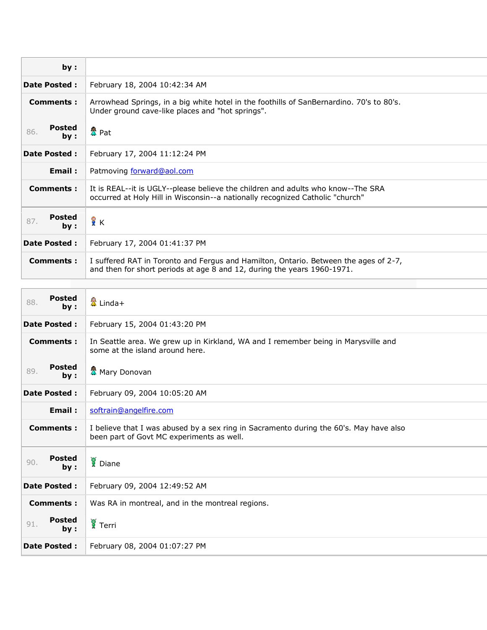| by:                         |                                                                                                                                                                   |
|-----------------------------|-------------------------------------------------------------------------------------------------------------------------------------------------------------------|
| <b>Date Posted:</b>         | February 18, 2004 10:42:34 AM                                                                                                                                     |
| <b>Comments:</b>            | Arrowhead Springs, in a big white hotel in the foothills of SanBernardino. 70's to 80's.<br>Under ground cave-like places and "hot springs".                      |
| <b>Posted</b><br>86.<br>by: | 盘 Pat                                                                                                                                                             |
| <b>Date Posted:</b>         | February 17, 2004 11:12:24 PM                                                                                                                                     |
| Email:                      | Patmoving forward@aol.com                                                                                                                                         |
| Comments:                   | It is REAL--it is UGLY--please believe the children and adults who know--The SRA<br>occurred at Holy Hill in Wisconsin--a nationally recognized Catholic "church" |
| <b>Posted</b><br>87.<br>by: | åκ                                                                                                                                                                |
| <b>Date Posted:</b>         | February 17, 2004 01:41:37 PM                                                                                                                                     |
| Comments :                  | I suffered RAT in Toronto and Fergus and Hamilton, Ontario. Between the ages of 2-7,<br>and then for short periods at age 8 and 12, during the years 1960-1971.   |

| <b>Posted</b><br>88.<br>by: | ■ Linda+                                                                                                                            |
|-----------------------------|-------------------------------------------------------------------------------------------------------------------------------------|
| Date Posted :               | February 15, 2004 01:43:20 PM                                                                                                       |
| <b>Comments:</b>            | In Seattle area. We grew up in Kirkland, WA and I remember being in Marysville and<br>some at the island around here.               |
| <b>Posted</b><br>89.<br>by: | <b>叠</b> Mary Donovan                                                                                                               |
| <b>Date Posted:</b>         | February 09, 2004 10:05:20 AM                                                                                                       |
| Email:                      | softrain@angelfire.com                                                                                                              |
| <b>Comments:</b>            | I believe that I was abused by a sex ring in Sacramento during the 60's. May have also<br>been part of Govt MC experiments as well. |
| <b>Posted</b><br>90.<br>by: | Diane                                                                                                                               |
| <b>Date Posted:</b>         | February 09, 2004 12:49:52 AM                                                                                                       |
| <b>Comments:</b>            | Was RA in montreal, and in the montreal regions.                                                                                    |
| <b>Posted</b><br>91.<br>bv: | $\frac{1}{3}$ Terri                                                                                                                 |
| <b>Date Posted:</b>         | February 08, 2004 01:07:27 PM                                                                                                       |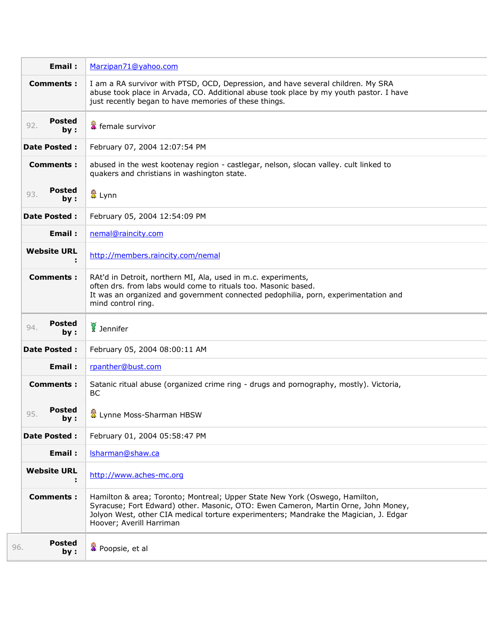| Email:                      | Marzipan71@yahoo.com                                                                                                                                                                                                                                                                   |
|-----------------------------|----------------------------------------------------------------------------------------------------------------------------------------------------------------------------------------------------------------------------------------------------------------------------------------|
| <b>Comments:</b>            | I am a RA survivor with PTSD, OCD, Depression, and have several children. My SRA<br>abuse took place in Arvada, CO. Additional abuse took place by my youth pastor. I have<br>just recently began to have memories of these things.                                                    |
| Posted<br>92.<br>by:        | female survivor                                                                                                                                                                                                                                                                        |
| <b>Date Posted:</b>         | February 07, 2004 12:07:54 PM                                                                                                                                                                                                                                                          |
| <b>Comments:</b>            | abused in the west kootenay region - castlegar, nelson, slocan valley. cult linked to<br>quakers and christians in washington state.                                                                                                                                                   |
| Posted<br>93.<br>by:        | 魯 Lynn                                                                                                                                                                                                                                                                                 |
| <b>Date Posted:</b>         | February 05, 2004 12:54:09 PM                                                                                                                                                                                                                                                          |
| Email:                      | nemal@raincity.com                                                                                                                                                                                                                                                                     |
| <b>Website URL</b>          | http://members.raincity.com/nemal                                                                                                                                                                                                                                                      |
| <b>Comments:</b>            | RAt'd in Detroit, northern MI, Ala, used in m.c. experiments,<br>often drs. from labs would come to rituals too. Masonic based.<br>It was an organized and government connected pedophilia, porn, experimentation and<br>mind control ring.                                            |
| Posted<br>94.<br>by:        | Jennifer                                                                                                                                                                                                                                                                               |
| <b>Date Posted:</b>         | February 05, 2004 08:00:11 AM                                                                                                                                                                                                                                                          |
| Email:                      | rpanther@bust.com                                                                                                                                                                                                                                                                      |
| <b>Comments:</b>            | Satanic ritual abuse (organized crime ring - drugs and pornography, mostly). Victoria,<br><b>BC</b>                                                                                                                                                                                    |
| Posted<br>95.<br>by:        | & Lynne Moss-Sharman HBSW                                                                                                                                                                                                                                                              |
| <b>Date Posted:</b>         | February 01, 2004 05:58:47 PM                                                                                                                                                                                                                                                          |
| Email:                      | Isharman@shaw.ca                                                                                                                                                                                                                                                                       |
| <b>Website URL</b>          | http://www.aches-mc.org                                                                                                                                                                                                                                                                |
| <b>Comments:</b>            | Hamilton & area; Toronto; Montreal; Upper State New York (Oswego, Hamilton,<br>Syracuse; Fort Edward) other. Masonic, OTO: Ewen Cameron, Martin Orne, John Money,<br>Jolyon West, other CIA medical torture experimenters; Mandrake the Magician, J. Edgar<br>Hoover; Averill Harriman |
| <b>Posted</b><br>96.<br>by: | Poopsie, et al                                                                                                                                                                                                                                                                         |